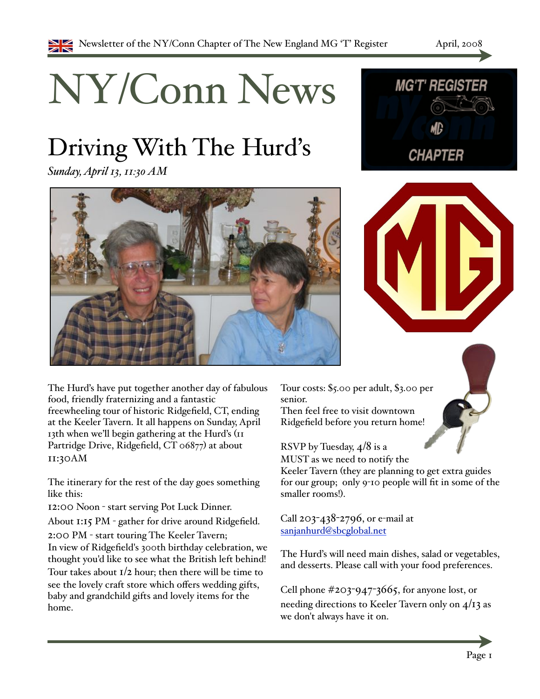# NY/Conn News

# Driving With The Hurd's

*Sunday, April 13, 11:30 AM*







The Hurd's have put together another day of fabulous food, friendly fraternizing and a fantastic freewheeling tour of historic Ridgefield, CT, ending at the Keeler Tavern. It all happens on Sunday, April 13th when we'll begin gathering at the Hurd's  $(11$ Partridge Drive, Ridgefield, CT 06877) at about 11:30AM

The itinerary for the rest of the day goes something like this:

12:00 Noon - start serving Pot Luck Dinner.

About  $1:15$  PM  $\overline{\phantom{a}}$  gather for drive around Ridgefield.

2:00 PM - start touring The Keeler Tavern; In view of Ridgefield's 300th birthday celebration, we thought you'd like to see what the British left behind! Tour takes about  $I/2$  hour; then there will be time to see the lovely craft store which offers wedding gifts, baby and grandchild gifts and lovely items for the home.

Tour costs: %5.00 per adult, %3.00 per senior.

Then feel free to visit downtown Ridgefield before you return home!

RSVP by Tuesday, 4/8 is a

MUST as we need to notify the Keeler Tavern (they are planning to get extra guides for our group; only 9-10 people will fit in some of the smaller rooms!).

Call  $203 - 438 - 2796$ , or e-mail at [sanjanhurd@sbcglobal.net](mailto:sanjanhurd@sbcglobal.net)

The Hurd's will need main dishes, salad or vegetables, and desserts. Please call with your food preferences.

Cell phone  $\#203-947-3665$ , for anyone lost, or needing directions to Keeler Tavern only on  $4/13$  as we don't always have it on.

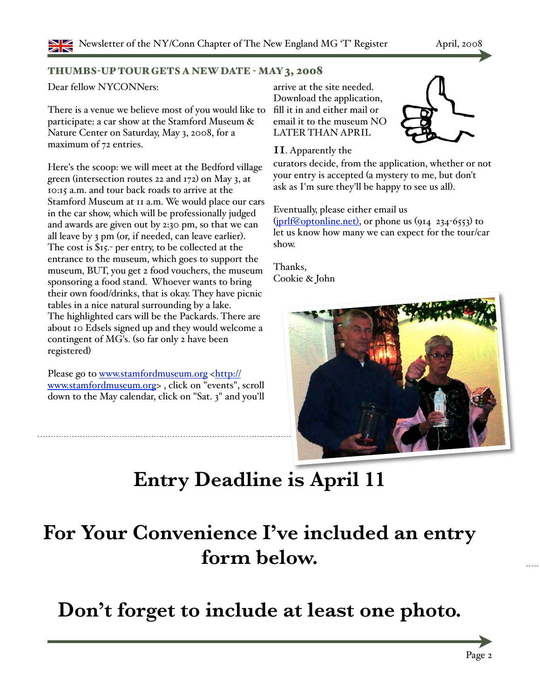#### THUMBS-UP TOUR GETS A NEW DATE - MAY 3, 2008

Dear fellow NYCONNers:

There is a venue we believe most of you would like to participate: a car show at the Stamford Museum & Nature Center on Saturday, May 3, 2008, for a maximum of 72 entries.

Here's the scoop: we will meet at the Bedford village green (intersection routes 22 and  $172$ ) on May 3, at 10:15 a.m. and tour back roads to arrive at the Stamford Museum at 11 a.m. We would place our cars in the car show, which will be professionally judged and awards are given out by 2:30 pm, so that we can all leave by  $3 \text{ pm}$  (or, if needed, can leave earlier). The cost is  $\$$ 15. per entry, to be collected at the entrance to the museum, which goes to support the museum, BUT, you get 2 food vouchers, the museum sponsoring a food stand. Whoever wants to bring their own food/drinks, that is okay. They have picnic tables in a nice natural surrounding by a lake. The highlighted cars will be the Packards. There are about 10 Edsels signed up and they would welcome a contingent of MG's. (so far only 2 have been registered)

Please go to [www.stamfordmuseum.org <http://](http://www.stamfordmuseum.org) [www.stamfordmuseum.org>](http://www.stamfordmuseum.org) , click on "events", scroll down to the May calendar, click on "Sat. 3" and you'll

arrive at the site needed. Download the application, fill it in and either mail or email it to the museum NO LATER THAN APRIL

#### 11. Apparently the

curators decide, from the application, whether or not your entry is accepted (a mystery to me, but don't ask as I'm sure they'll be happy to see us all).

Eventually, please either email us

 $(pr)f@optionline.net$ , or phone us  $(914 \t234-6553)$  to let us know how many we can expect for the tour/car show.

Thanks, Cookie & John



# **Entry Deadline is April 11**

## **For Your Convenience I've included an entry form below.**

**Don't forget to include at least one photo.**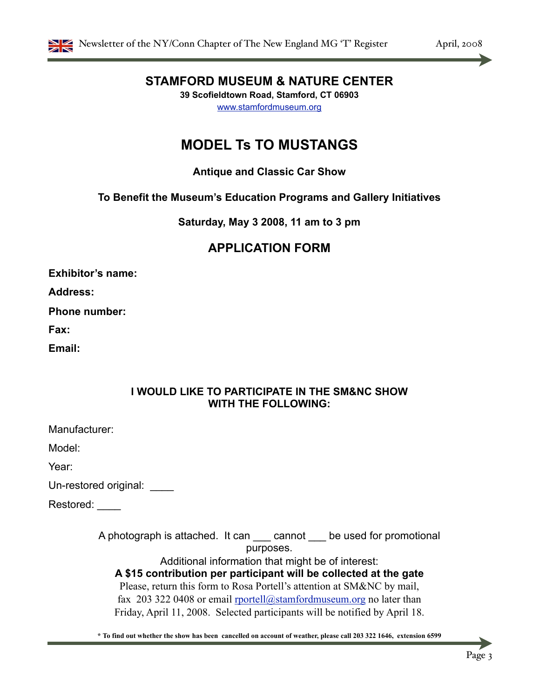

#### **STAMFORD MUSEUM & NATURE CENTER**

**39 Scofieldtown Road, Stamford, CT 06903** [www.stamfordmuseum.org](http://www.stamfordmuseum.org)

#### **MODEL Ts TO MUSTANGS**

#### **Antique and Classic Car Show**

#### **To Benefit the Museum's Education Programs and Gallery Initiatives**

**Saturday, May 3 2008, 11 am to 3 pm**

#### **APPLICATION FORM**

**Exhibitor's name:**

**Address:**

**Phone number:**

**Fax:**

**Email:**

#### **I WOULD LIKE TO PARTICIPATE IN THE SM&NC SHOW WITH THE FOLLOWING:**

Manufacturer:

Model:

Year:

Un-restored original: \_\_\_\_

Restored:

A photograph is attached. It can \_\_\_ cannot \_\_\_ be used for promotional purposes.

Additional information that might be of interest:

**A \$15 contribution per participant will be collected at the gate**

Please, return this form to Rosa Portell's attention at SM&NC by mail, fax 203 322 0408 or email  $prottell@stamfordmuseum.org$  no later than Friday, April 11, 2008. Selected participants will be notified by April 18.

**\* To find out whether the show has been cancelled on account of weather, please call 203 322 1646, extension 6599**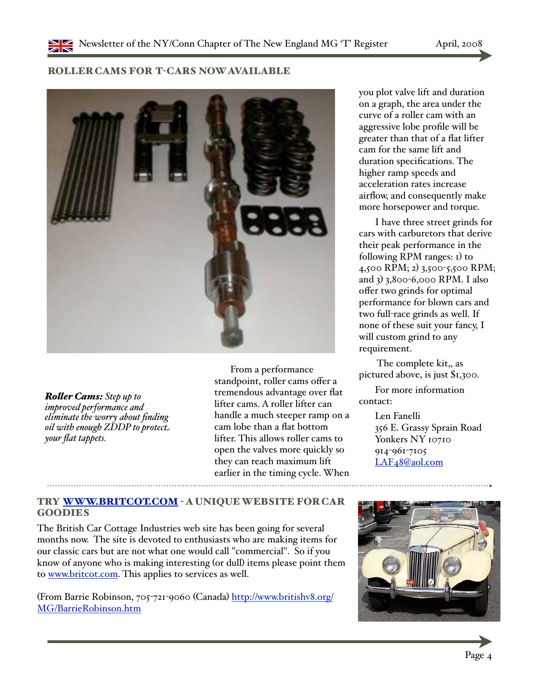#### ROLLER CAMS FOR T-CARS NOW AVAILABLE



*Ro!er Cams: Step up to improved performance and eliminate the worry about finding oil with enough ZDDP to protec! your flat tappets.*

From a performance standpoint, roller cams offer a tremendous advantage over flat lifter cams. A roller lifter can handle a much steeper ramp on a cam lobe than a flat bottom lifter. This allows roller cams to open the valves more quickly so they can reach maximum lift earlier in the timing cycle. When you plot valve lift and duration on a graph, the area under the curve of a roller cam with an aggressive lobe profile will be greater than that of a flat lifter cam for the same lift and duration specifications. The higher ramp speeds and acceleration rates increase airflow, and consequently make more horsepower and torque.

I have three street grinds for cars with carburetors that derive their peak performance in the following RPM ranges: 1) to  $4,500$  RPM; 2)  $3,500$ -5,500 RPM; and 3) 3,800-6,000 RPM. I also offer two grinds for optimal performance for blown cars and two full-race grinds as well. If none of these suit your fancy, I will custom grind to any requirement.

 The complete kit,, as pictured above, is just %1,300.

For more information contact:

> Len Fanelli 356 E. Grassy Sprain Road Yonkers NY 10710 914-961-7105 [LAF48@aol.com](mailto:LAF48@aol.com)

#### TRY [WWW.BRITCOT.COM](http://www.britcot.com) - A UNIQUE WEBSITE FOR CAR GOODIES

The British Car Cottage Industries web site has been going for several months now. The site is devoted to enthusiasts who are making items for our classic cars but are not what one would call "commercial". So if you know of anyone who is making interesting (or dull) items please point them to [www.britcot.com.](http://www.britcot.com) This applies to services as well.

(From Barrie Robinson, 705-721-9060 (Canada) [http://www.britishv8.org/](http://www.britishv8.org/MG/BarrieRobinson.htm) [MG/BarrieRobinson.htm](http://www.britishv8.org/MG/BarrieRobinson.htm)

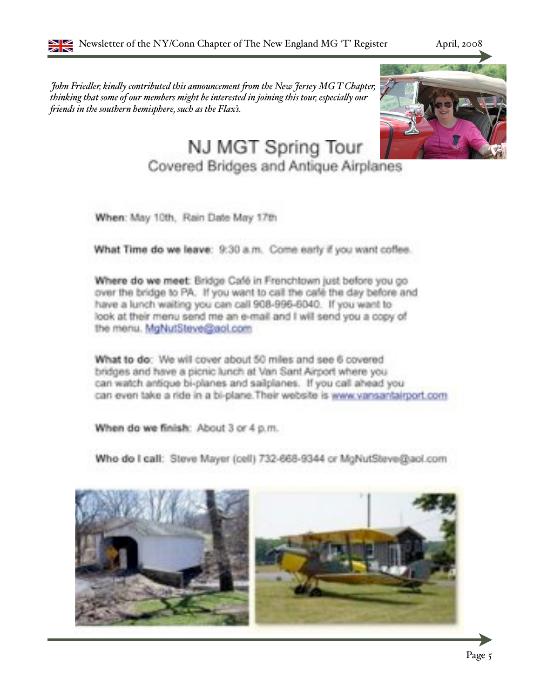*John Friedler, kindly contributed this announcement "om the New Jersey MG T Chapter, thinking that some of our members might be interested in joining this tour, especia#y our "iends in the southern hemisphere, such as the Flax's.*



### NJ MGT Spring Tour

Covered Bridges and Antique Airplanes

When: May 10th, Rain Date May 17th

What Time do we leave: 9:30 a.m. Come early if you want coffee.

Where do we meet: Bridge Café in Frenchtown just before you go over the bridge to PA. If you want to call the café the day before and have a lunch waiting you can call 908-996-6040. If you want to look at their menu send me an e-mail and I will send you a copy of the menu. MgNutSteve@aol.com

What to do: We will cover about 50 miles and see 6 covered bridges and have a picnic lunch at Van Sant Airport where you can watch antique bi-planes and sailplanes. If you call ahead you can even take a ride in a bi-plane. Their website is www.vansantairport.com

When do we finish: About 3 or 4 p.m.

Who do I call: Steve Mayer (cell) 732-668-9344 or MgNutSteve@aol.com